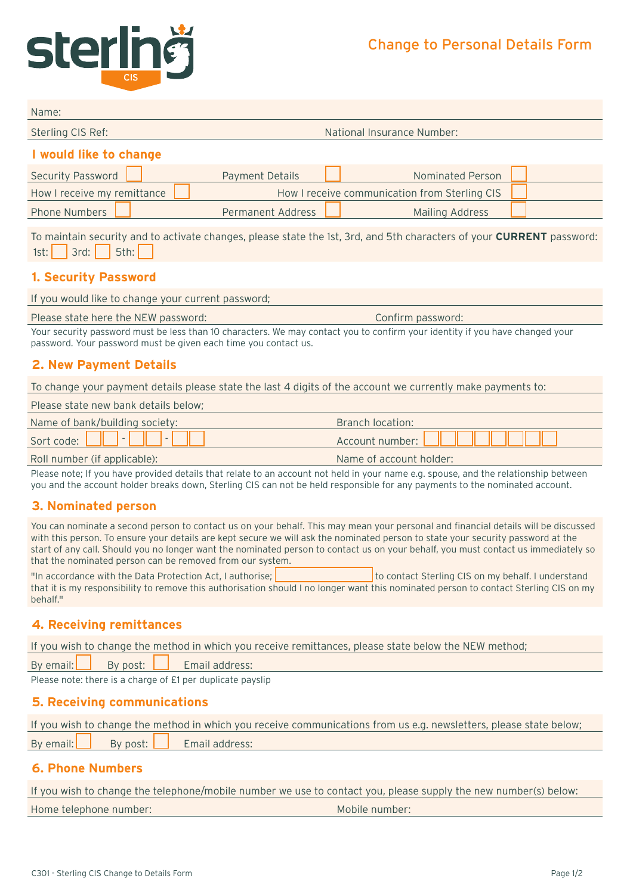# Change to Personal Details Form



| Name:                                                                                                                                                                                           |                                   |                                               |  |
|-------------------------------------------------------------------------------------------------------------------------------------------------------------------------------------------------|-----------------------------------|-----------------------------------------------|--|
| Sterling CIS Ref:                                                                                                                                                                               | <b>National Insurance Number:</b> |                                               |  |
| I would like to change                                                                                                                                                                          |                                   |                                               |  |
| <b>Security Password</b>                                                                                                                                                                        | <b>Payment Details</b>            | Nominated Person                              |  |
| How I receive my remittance                                                                                                                                                                     |                                   | How I receive communication from Sterling CIS |  |
| <b>Phone Numbers</b>                                                                                                                                                                            | <b>Permanent Address</b>          | <b>Mailing Address</b>                        |  |
| To maintain security and to activate changes, please state the 1st, 3rd, and 5th characters of your <b>CURRENT</b> password:<br>3rd:<br>5th:<br>1st:<br>1. Security Password                    |                                   |                                               |  |
| If you would like to change your current password;                                                                                                                                              |                                   |                                               |  |
| Please state here the NEW password:                                                                                                                                                             |                                   | Confirm password:                             |  |
| Your security password must be less than 10 characters. We may contact you to confirm your identity if you have changed your<br>password. Your password must be given each time you contact us. |                                   |                                               |  |
| 2. New Payment Details                                                                                                                                                                          |                                   |                                               |  |
| To change your payment details please state the last 4 digits of the account we currently make payments to:                                                                                     |                                   |                                               |  |

| Please state new bank details below; |                          |
|--------------------------------------|--------------------------|
| Name of bank/building society:       | <b>Branch location:</b>  |
|                                      | Account number: New York |
| Roll number (if applicable):         | Name of account holder:  |

Please note; If you have provided details that relate to an account not held in your name e.g. spouse, and the relationship between you and the account holder breaks down, Sterling CIS can not be held responsible for any payments to the nominated account.

# **3. Nominated person**

You can nominate a second person to contact us on your behalf. This may mean your personal and financial details will be discussed with this person. To ensure your details are kept secure we will ask the nominated person to state your security password at the start of any call. Should you no longer want the nominated person to contact us on your behalf, you must contact us immediately so that the nominated person can be removed from our system.

"In accordance with the Data Protection Act, I authorise: the contact Sterling CIS on my behalf. I understand that it is my responsibility to remove this authorisation should I no longer want this nominated person to contact Sterling CIS on my behalf."

# **4. Receiving remittances**

If you wish to change the method in which you receive remittances, please state below the NEW method;

By email: **By post:** Email address:

Please note: there is a charge of £1 per duplicate payslip

#### **5. Receiving communications**

|  | If you wish to change the method in which you receive communications from us e.g. newsletters, please state below; |
|--|--------------------------------------------------------------------------------------------------------------------|
|  | By email: By post: Email address:                                                                                  |

## **6. Phone Numbers**

If you wish to change the telephone/mobile number we use to contact you, please supply the new number(s) below:

Home telephone number: Mobile number: Mobile number: Mobile number: